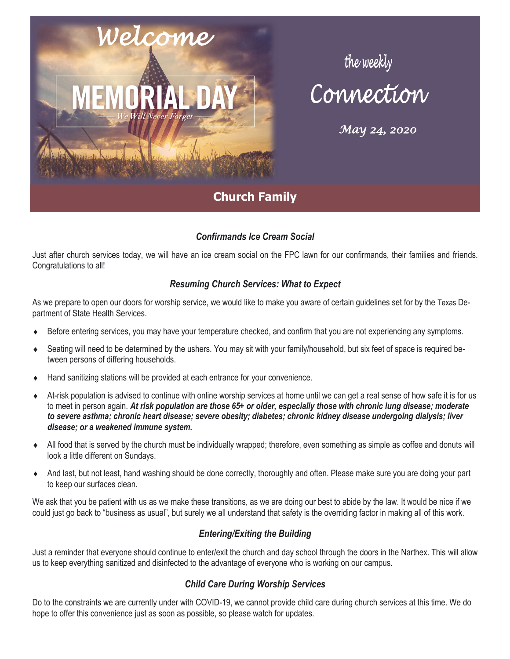

# the weekly<br>Connection

*May 24, 2020* 

# *Confirmands Ice Cream Social*

Just after church services today, we will have an ice cream social on the FPC lawn for our confirmands, their families and friends. Congratulations to all!

# *Resuming Church Services: What to Expect*

As we prepare to open our doors for worship service, we would like to make you aware of certain guidelines set for by the Texas Department of State Health Services.

- Before entering services, you may have your temperature checked, and confirm that you are not experiencing any symptoms.
- Seating will need to be determined by the ushers. You may sit with your family/household, but six feet of space is required between persons of differing households.
- Hand sanitizing stations will be provided at each entrance for your convenience.
- At-risk population is advised to continue with online worship services at home until we can get a real sense of how safe it is for us to meet in person again. *At risk population are those 65+ or older, especially those with chronic lung disease; moderate to severe asthma; chronic heart disease; severe obesity; diabetes; chronic kidney disease undergoing dialysis; liver disease; or a weakened immune system.*
- All food that is served by the church must be individually wrapped; therefore, even something as simple as coffee and donuts will look a little different on Sundays.
- And last, but not least, hand washing should be done correctly, thoroughly and often. Please make sure you are doing your part to keep our surfaces clean.

We ask that you be patient with us as we make these transitions, as we are doing our best to abide by the law. It would be nice if we could just go back to "business as usual", but surely we all understand that safety is the overriding factor in making all of this work.

# *Entering/Exiting the Building*

Just a reminder that everyone should continue to enter/exit the church and day school through the doors in the Narthex. This will allow us to keep everything sanitized and disinfected to the advantage of everyone who is working on our campus.

# *Child Care During Worship Services*

Do to the constraints we are currently under with COVID-19, we cannot provide child care during church services at this time. We do hope to offer this convenience just as soon as possible, so please watch for updates.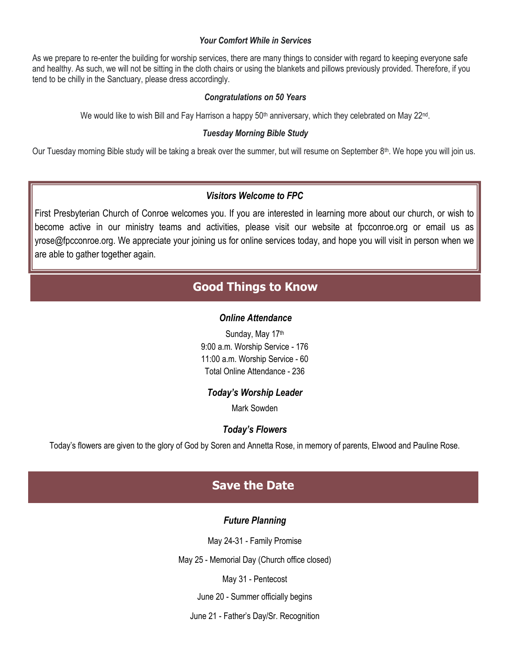### *Your Comfort While in Services*

As we prepare to re-enter the building for worship services, there are many things to consider with regard to keeping everyone safe and healthy. As such, we will not be sitting in the cloth chairs or using the blankets and pillows previously provided. Therefore, if you tend to be chilly in the Sanctuary, please dress accordingly.

### *Congratulations on 50 Years*

We would like to wish Bill and Fay Harrison a happy 50<sup>th</sup> anniversary, which they celebrated on May 22<sup>nd</sup>.

### *Tuesday Morning Bible Study*

Our Tuesday morning Bible study will be taking a break over the summer, but will resume on September 8<sup>th</sup>. We hope you will join us.

# *Visitors Welcome to FPC*

First Presbyterian Church of Conroe welcomes you. If you are interested in learning more about our church, or wish to become active in our ministry teams and activities, please visit our website at fpcconroe.org or email us as yrose@fpcconroe.org. We appreciate your joining us for online services today, and hope you will visit in person when we are able to gather together again.

# **Good Things to Know**

## *Online Attendance*

Sunday, May 17th 9:00 a.m. Worship Service - 176 11:00 a.m. Worship Service - 60 Total Online Attendance - 236

## *Today's Worship Leader*

Mark Sowden

# *Today's Flowers*

Today's flowers are given to the glory of God by Soren and Annetta Rose, in memory of parents, Elwood and Pauline Rose.

# **Save the Date**

# *Future Planning*

May 24-31 - Family Promise

May 25 - Memorial Day (Church office closed)

May 31 - Pentecost

June 20 - Summer officially begins

June 21 - Father's Day/Sr. Recognition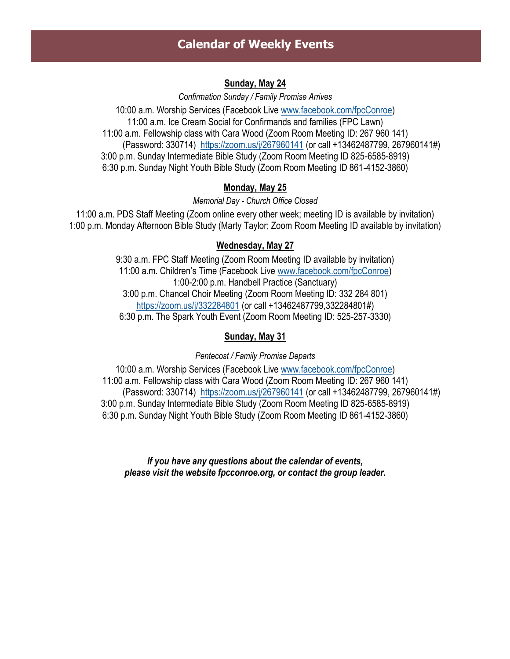# **Calendar of Weekly Events**

# **Sunday, May 24**

*Confirmation Sunday / Family Promise Arrives*

10:00 a.m. Worship Services (Facebook Live [www.facebook.com/fpcConroe\)](http://www.facebook.com/fpcConroe) 11:00 a.m. Ice Cream Social for Confirmands and families (FPC Lawn) 11:00 a.m. Fellowship class with Cara Wood (Zoom Room Meeting ID: 267 960 141) (Password: 330714) <https://zoom.us/j/267960141> (or call +13462487799, 267960141#) 3:00 p.m. Sunday Intermediate Bible Study (Zoom Room Meeting ID 825-6585-8919) 6:30 p.m. Sunday Night Youth Bible Study (Zoom Room Meeting ID 861-4152-3860)

# **Monday, May 25**

*Memorial Day - Church Office Closed*

11:00 a.m. PDS Staff Meeting (Zoom online every other week; meeting ID is available by invitation) 1:00 p.m. Monday Afternoon Bible Study (Marty Taylor; Zoom Room Meeting ID available by invitation)

# **Wednesday, May 27**

9:30 a.m. FPC Staff Meeting (Zoom Room Meeting ID available by invitation) 11:00 a.m. Children's Time (Facebook Live [www.facebook.com/fpcConroe\)](http://www.facebook.com/fpcConroe) 1:00-2:00 p.m. Handbell Practice (Sanctuary) 3:00 p.m. Chancel Choir Meeting (Zoom Room Meeting ID: 332 284 801) <https://zoom.us/j/332284801> (or call +13462487799,332284801#) 6:30 p.m. The Spark Youth Event (Zoom Room Meeting ID: 525-257-3330)

# **Sunday, May 31**

*Pentecost / Family Promise Departs*

10:00 a.m. Worship Services (Facebook Live [www.facebook.com/fpcConroe\)](http://www.facebook.com/fpcConroe) 11:00 a.m. Fellowship class with Cara Wood (Zoom Room Meeting ID: 267 960 141) (Password: 330714) <https://zoom.us/j/267960141> (or call +13462487799, 267960141#) 3:00 p.m. Sunday Intermediate Bible Study (Zoom Room Meeting ID 825-6585-8919) 6:30 p.m. Sunday Night Youth Bible Study (Zoom Room Meeting ID 861-4152-3860)

*If you have any questions about the calendar of events, please visit the website fpcconroe.org, or contact the group leader.*